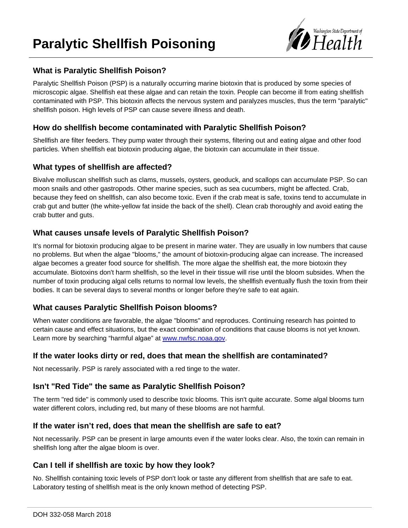# **Paralytic Shellfish Poisoning**



## **What is Paralytic Shellfish Poison?**

Paralytic Shellfish Poison (PSP) is a naturally occurring marine biotoxin that is produced by some species of microscopic algae. Shellfish eat these algae and can retain the toxin. People can become ill from eating shellfish contaminated with PSP. This biotoxin affects the nervous system and paralyzes muscles, thus the term "paralytic" shellfish poison. High levels of PSP can cause severe illness and death.

#### **How do shellfish become contaminated with Paralytic Shellfish Poison?**

Shellfish are filter feeders. They pump water through their systems, filtering out and eating algae and other food particles. When shellfish eat biotoxin producing algae, the biotoxin can accumulate in their tissue.

# **What types of shellfish are affected?**

Bivalve molluscan shellfish such as clams, mussels, oysters, geoduck, and scallops can accumulate PSP. So can moon snails and other gastropods. Other marine species, such as sea cucumbers, might be affected. Crab, because they feed on shellfish, can also become toxic. Even if the crab meat is safe, toxins tend to accumulate in crab gut and butter (the white-yellow fat inside the back of the shell). Clean crab thoroughly and avoid eating the crab butter and guts.

# **What causes unsafe levels of Paralytic Shellfish Poison?**

It's normal for biotoxin producing algae to be present in marine water. They are usually in low numbers that cause no problems. But when the algae "blooms," the amount of biotoxin-producing algae can increase. The increased algae becomes a greater food source for shellfish. The more algae the shellfish eat, the more biotoxin they accumulate. Biotoxins don't harm shellfish, so the level in their tissue will rise until the bloom subsides. When the number of toxin producing algal cells returns to normal low levels, the shellfish eventually flush the toxin from their bodies. It can be several days to several months or longer before they're safe to eat again.

# **What causes Paralytic Shellfish Poison blooms?**

When water conditions are favorable, the algae "blooms" and reproduces. Continuing research has pointed to certain cause and effect situations, but the exact combination of conditions that cause blooms is not yet known. Learn more by searching "harmful algae" at [www.nwfsc.noaa.gov.](http://www.nwfsc.noaa.gov/)

#### **If the water looks dirty or red, does that mean the shellfish are contaminated?**

Not necessarily. PSP is rarely associated with a red tinge to the water.

# **Isn't "Red Tide" the same as Paralytic Shellfish Poison?**

The term "red tide" is commonly used to describe toxic blooms. This isn't quite accurate. Some algal blooms turn water different colors, including red, but many of these blooms are not harmful.

#### **If the water isn't red, does that mean the shellfish are safe to eat?**

Not necessarily. PSP can be present in large amounts even if the water looks clear. Also, the toxin can remain in shellfish long after the algae bloom is over.

# **Can I tell if shellfish are toxic by how they look?**

No. Shellfish containing toxic levels of PSP don't look or taste any different from shellfish that are safe to eat. Laboratory testing of shellfish meat is the only known method of detecting PSP.